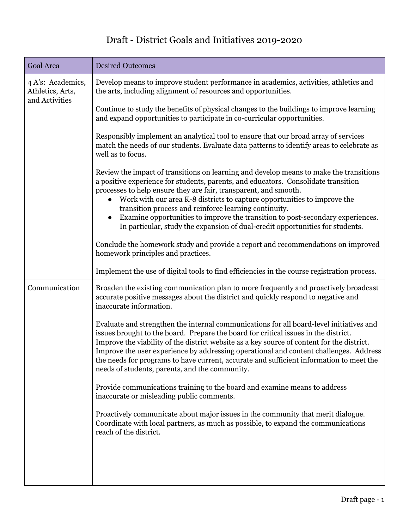## Draft - District Goals and Initiatives 2019-2020

| Goal Area                                               | <b>Desired Outcomes</b>                                                                                                                                                                                                                                                                                                                                                                                                                                                                                                                                  |
|---------------------------------------------------------|----------------------------------------------------------------------------------------------------------------------------------------------------------------------------------------------------------------------------------------------------------------------------------------------------------------------------------------------------------------------------------------------------------------------------------------------------------------------------------------------------------------------------------------------------------|
| 4 A's: Academics,<br>Athletics, Arts,<br>and Activities | Develop means to improve student performance in academics, activities, athletics and<br>the arts, including alignment of resources and opportunities.                                                                                                                                                                                                                                                                                                                                                                                                    |
|                                                         | Continue to study the benefits of physical changes to the buildings to improve learning<br>and expand opportunities to participate in co-curricular opportunities.                                                                                                                                                                                                                                                                                                                                                                                       |
|                                                         | Responsibly implement an analytical tool to ensure that our broad array of services<br>match the needs of our students. Evaluate data patterns to identify areas to celebrate as<br>well as to focus.                                                                                                                                                                                                                                                                                                                                                    |
|                                                         | Review the impact of transitions on learning and develop means to make the transitions<br>a positive experience for students, parents, and educators. Consolidate transition<br>processes to help ensure they are fair, transparent, and smooth.<br>Work with our area K-8 districts to capture opportunities to improve the<br>transition process and reinforce learning continuity.<br>Examine opportunities to improve the transition to post-secondary experiences.<br>In particular, study the expansion of dual-credit opportunities for students. |
|                                                         | Conclude the homework study and provide a report and recommendations on improved<br>homework principles and practices.                                                                                                                                                                                                                                                                                                                                                                                                                                   |
|                                                         | Implement the use of digital tools to find efficiencies in the course registration process.                                                                                                                                                                                                                                                                                                                                                                                                                                                              |
| Communication                                           | Broaden the existing communication plan to more frequently and proactively broadcast<br>accurate positive messages about the district and quickly respond to negative and<br>inaccurate information.                                                                                                                                                                                                                                                                                                                                                     |
|                                                         | Evaluate and strengthen the internal communications for all board-level initiatives and<br>issues brought to the board. Prepare the board for critical issues in the district.<br>Improve the viability of the district website as a key source of content for the district.<br>Improve the user experience by addressing operational and content challenges. Address<br>the needs for programs to have current, accurate and sufficient information to meet the<br>needs of students, parents, and the community.                                       |
|                                                         | Provide communications training to the board and examine means to address<br>inaccurate or misleading public comments.                                                                                                                                                                                                                                                                                                                                                                                                                                   |
|                                                         | Proactively communicate about major issues in the community that merit dialogue.<br>Coordinate with local partners, as much as possible, to expand the communications<br>reach of the district.                                                                                                                                                                                                                                                                                                                                                          |
|                                                         |                                                                                                                                                                                                                                                                                                                                                                                                                                                                                                                                                          |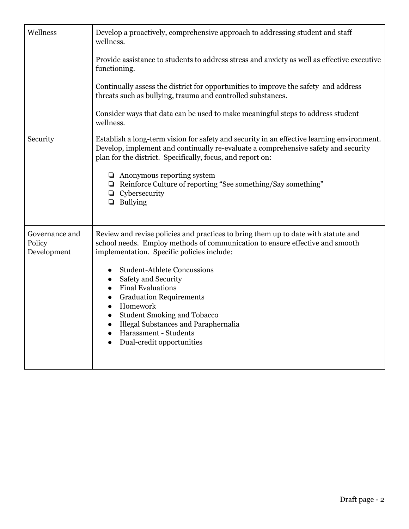| Wellness                                | Develop a proactively, comprehensive approach to addressing student and staff<br>wellness.                                                                                                                                                     |
|-----------------------------------------|------------------------------------------------------------------------------------------------------------------------------------------------------------------------------------------------------------------------------------------------|
|                                         | Provide assistance to students to address stress and anxiety as well as effective executive<br>functioning.                                                                                                                                    |
|                                         | Continually assess the district for opportunities to improve the safety and address<br>threats such as bullying, trauma and controlled substances.                                                                                             |
|                                         | Consider ways that data can be used to make meaningful steps to address student<br>wellness.                                                                                                                                                   |
| Security                                | Establish a long-term vision for safety and security in an effective learning environment.<br>Develop, implement and continually re-evaluate a comprehensive safety and security<br>plan for the district. Specifically, focus, and report on: |
|                                         | $\Box$ Anonymous reporting system<br>$\Box$ Reinforce Culture of reporting "See something/Say something"<br>Cybersecurity<br>$\Box$<br>$\Box$ Bullying                                                                                         |
| Governance and<br>Policy<br>Development | Review and revise policies and practices to bring them up to date with statute and<br>school needs. Employ methods of communication to ensure effective and smooth<br>implementation. Specific policies include:                               |
|                                         | <b>Student-Athlete Concussions</b><br>$\bullet$<br>Safety and Security                                                                                                                                                                         |
|                                         | <b>Final Evaluations</b><br><b>Graduation Requirements</b><br>$\bullet$                                                                                                                                                                        |
|                                         | Homework<br>$\bullet$<br><b>Student Smoking and Tobacco</b><br>$\bullet$<br>Illegal Substances and Paraphernalia<br>$\bullet$                                                                                                                  |
|                                         | Harassment - Students<br>$\bullet$<br>Dual-credit opportunities<br>$\bullet$                                                                                                                                                                   |
|                                         |                                                                                                                                                                                                                                                |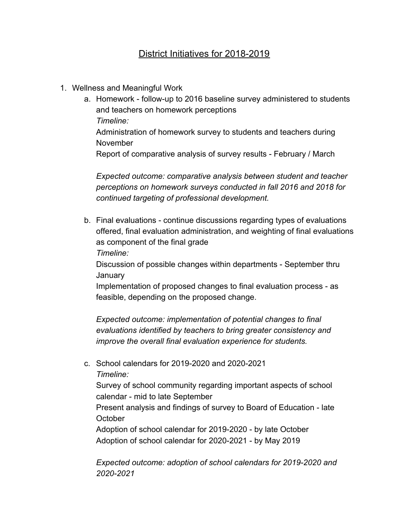## District Initiatives for 2018-2019

- 1. Wellness and Meaningful Work
	- a. Homework follow-up to 2016 baseline survey administered to students and teachers on homework perceptions *Timeline:* Administration of homework survey to students and teachers during November Report of comparative analysis of survey results - February / March

*Expected outcome: comparative analysis between student and teacher perceptions on homework surveys conducted in fall 2016 and 2018 for continued targeting of professional development.*

b. Final evaluations - continue discussions regarding types of evaluations offered, final evaluation administration, and weighting of final evaluations as component of the final grade

*Timeline:*

Discussion of possible changes within departments - September thru **January** 

Implementation of proposed changes to final evaluation process - as feasible, depending on the proposed change.

*Expected outcome: implementation of potential changes to final evaluations identified by teachers to bring greater consistency and improve the overall final evaluation experience for students.*

c. School calendars for 2019-2020 and 2020-2021 *Timeline:*

Survey of school community regarding important aspects of school calendar - mid to late September

Present analysis and findings of survey to Board of Education - late **October** 

Adoption of school calendar for 2019-2020 - by late October Adoption of school calendar for 2020-2021 - by May 2019

*Expected outcome: adoption of school calendars for 2019-2020 and 2020-2021*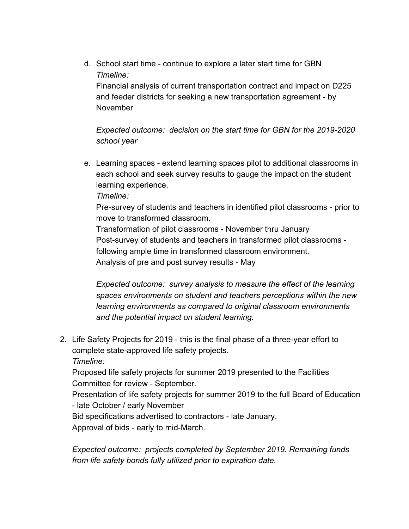d. School start time - continue to explore a later start time for GBN *Timeline:* Financial analysis of current transportation contract and impact on D225 and feeder districts for seeking a new transportation agreement - by November

*Expected outcome: decision on the start time for GBN for the 2019-2020 school year*

e. Learning spaces - extend learning spaces pilot to additional classrooms in each school and seek survey results to gauge the impact on the student learning experience.

*Timeline:*

Pre-survey of students and teachers in identified pilot classrooms - prior to move to transformed classroom.

Transformation of pilot classrooms - November thru January Post-survey of students and teachers in transformed pilot classrooms following ample time in transformed classroom environment. Analysis of pre and post survey results - May

*Expected outcome: survey analysis to measure the effect of the learning spaces environments on student and teachers perceptions within the new learning environments as compared to original classroom environments and the potential impact on student learning.*

2. Life Safety Projects for 2019 - this is the final phase of a three-year effort to complete state-approved life safety projects.

*Timeline:*

Proposed life safety projects for summer 2019 presented to the Facilities Committee for review - September.

Presentation of life safety projects for summer 2019 to the full Board of Education - late October / early November

Bid specifications advertised to contractors - late January. Approval of bids - early to mid-March.

*Expected outcome: projects completed by September 2019. Remaining funds from life safety bonds fully utilized prior to expiration date.*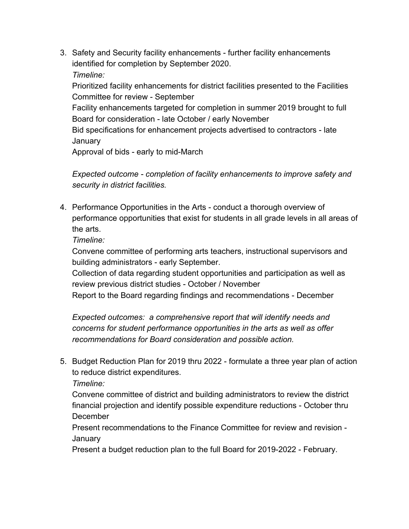3. Safety and Security facility enhancements - further facility enhancements identified for completion by September 2020. *Timeline:*

Prioritized facility enhancements for district facilities presented to the Facilities Committee for review - September

Facility enhancements targeted for completion in summer 2019 brought to full Board for consideration - late October / early November

Bid specifications for enhancement projects advertised to contractors - late **January** 

Approval of bids - early to mid-March

*Expected outcome - completion of facility enhancements to improve safety and security in district facilities.*

4. Performance Opportunities in the Arts - conduct a thorough overview of performance opportunities that exist for students in all grade levels in all areas of the arts.

*Timeline:*

Convene committee of performing arts teachers, instructional supervisors and building administrators - early September.

Collection of data regarding student opportunities and participation as well as review previous district studies - October / November

Report to the Board regarding findings and recommendations - December

*Expected outcomes: a comprehensive report that will identify needs and concerns for student performance opportunities in the arts as well as offer recommendations for Board consideration and possible action.*

5. Budget Reduction Plan for 2019 thru 2022 - formulate a three year plan of action to reduce district expenditures.

*Timeline:*

Convene committee of district and building administrators to review the district financial projection and identify possible expenditure reductions - October thru **December** 

Present recommendations to the Finance Committee for review and revision - January

Present a budget reduction plan to the full Board for 2019-2022 - February.